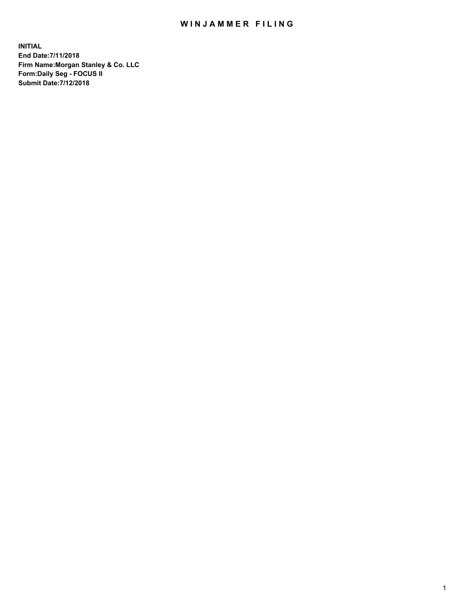## WIN JAMMER FILING

**INITIAL End Date:7/11/2018 Firm Name:Morgan Stanley & Co. LLC Form:Daily Seg - FOCUS II Submit Date:7/12/2018**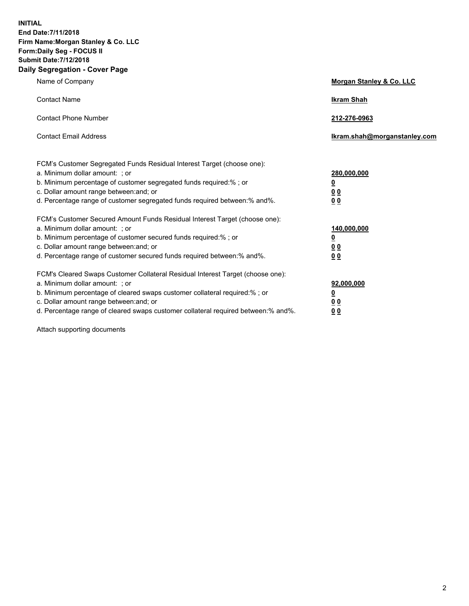**INITIAL End Date:7/11/2018 Firm Name:Morgan Stanley & Co. LLC Form:Daily Seg - FOCUS II Submit Date:7/12/2018 Daily Segregation - Cover Page**

| Name of Company                                                                                                        | Morgan Stanley & Co. LLC     |
|------------------------------------------------------------------------------------------------------------------------|------------------------------|
| <b>Contact Name</b>                                                                                                    | <b>Ikram Shah</b>            |
| <b>Contact Phone Number</b>                                                                                            | 212-276-0963                 |
| <b>Contact Email Address</b>                                                                                           | Ikram.shah@morganstanley.com |
| FCM's Customer Segregated Funds Residual Interest Target (choose one):                                                 |                              |
| a. Minimum dollar amount: ; or                                                                                         | 280,000,000                  |
| b. Minimum percentage of customer segregated funds required:% ; or                                                     | <u>0</u>                     |
| c. Dollar amount range between: and; or<br>d. Percentage range of customer segregated funds required between: % and %. | <u>0 0</u><br>0 Q            |
| FCM's Customer Secured Amount Funds Residual Interest Target (choose one):                                             |                              |
| a. Minimum dollar amount: ; or                                                                                         | 140,000,000                  |
| b. Minimum percentage of customer secured funds required:%; or                                                         | <u>0</u>                     |
| c. Dollar amount range between: and; or                                                                                | 0 <sub>0</sub>               |
| d. Percentage range of customer secured funds required between:% and%.                                                 | 0 <sub>0</sub>               |
| FCM's Cleared Swaps Customer Collateral Residual Interest Target (choose one):                                         |                              |
| a. Minimum dollar amount: ; or                                                                                         | 92,000,000                   |
| b. Minimum percentage of cleared swaps customer collateral required:% ; or                                             | <u>0</u>                     |
| c. Dollar amount range between: and; or                                                                                | 0 Q                          |
| d. Percentage range of cleared swaps customer collateral required between:% and%.                                      | 00                           |

Attach supporting documents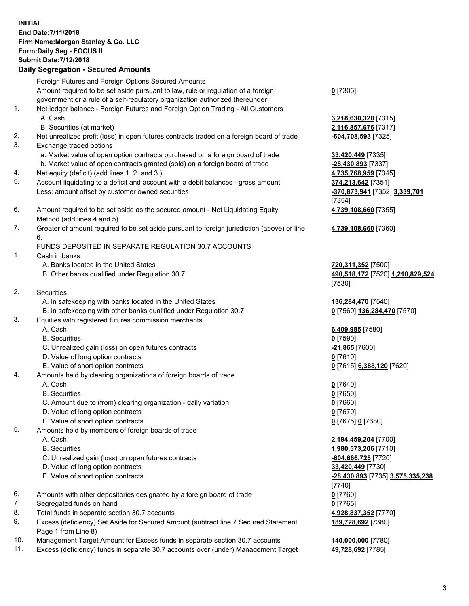## **INITIAL End Date:7/11/2018 Firm Name:Morgan Stanley & Co. LLC Form:Daily Seg - FOCUS II Submit Date:7/12/2018 Daily Segregation - Secured Amounts**

Foreign Futures and Foreign Options Secured Amounts Amount required to be set aside pursuant to law, rule or regulation of a foreign government or a rule of a self-regulatory organization authorized thereunder 1. Net ledger balance - Foreign Futures and Foreign Option Trading - All Customers A. Cash **3,218,630,320** [7315] B. Securities (at market) **2,116,857,676** [7317] 2. Net unrealized profit (loss) in open futures contracts traded on a foreign board of trade **-604,708,593** [7325] 3. Exchange traded options a. Market value of open option contracts purchased on a foreign board of trade **33,420,449** [7335] b. Market value of open contracts granted (sold) on a foreign board of trade **-28,430,893** [7337] 4. Net equity (deficit) (add lines 1. 2. and 3.) **4,735,768,959** [7345] 5. Account liquidating to a deficit and account with a debit balances - gross amount **374,213,642** [7351] Less: amount offset by customer owned securities **-370,873,941** [7352] **3,339,701** 6. Amount required to be set aside as the secured amount - Net Liquidating Equity Method (add lines 4 and 5) 7. Greater of amount required to be set aside pursuant to foreign jurisdiction (above) or line 6. FUNDS DEPOSITED IN SEPARATE REGULATION 30.7 ACCOUNTS 1. Cash in banks A. Banks located in the United States **720,311,352** [7500] B. Other banks qualified under Regulation 30.7 **490,518,172** [7520] **1,210,829,524** 2. Securities A. In safekeeping with banks located in the United States **136,284,470** [7540] B. In safekeeping with other banks qualified under Regulation 30.7 **0** [7560] **136,284,470** [7570]

- 3. Equities with registered futures commission merchants
	-
	- B. Securities **0** [7590]
	- C. Unrealized gain (loss) on open futures contracts **-21,865** [7600]
	- D. Value of long option contracts **0** [7610]
- E. Value of short option contracts **0** [7615] **6,388,120** [7620]
- 4. Amounts held by clearing organizations of foreign boards of trade
	- A. Cash **0** [7640]
	- B. Securities **0** [7650]
	- C. Amount due to (from) clearing organization daily variation **0** [7660]
	- D. Value of long option contracts **0** [7670]
	- E. Value of short option contracts **0** [7675] **0** [7680]
- 5. Amounts held by members of foreign boards of trade
	-
	-
	- C. Unrealized gain (loss) on open futures contracts **-604,686,728** [7720]
	- D. Value of long option contracts **33,420,449** [7730]
	-
- 6. Amounts with other depositories designated by a foreign board of trade **0** [7760]
- 7. Segregated funds on hand **0** [7765]
- 8. Total funds in separate section 30.7 accounts **4,928,837,352** [7770]
- 9. Excess (deficiency) Set Aside for Secured Amount (subtract line 7 Secured Statement Page 1 from Line 8)
- 10. Management Target Amount for Excess funds in separate section 30.7 accounts **140,000,000** [7780]
- 11. Excess (deficiency) funds in separate 30.7 accounts over (under) Management Target **49,728,692** [7785]

**0** [7305]

[7354] **4,739,108,660** [7355]

**4,739,108,660** [7360]

[7530]

A. Cash **6,409,985** [7580]

 A. Cash **2,194,459,204** [7700] B. Securities **1,980,573,206** [7710] E. Value of short option contracts **-28,430,893** [7735] **3,575,335,238** [7740] **189,728,692** [7380]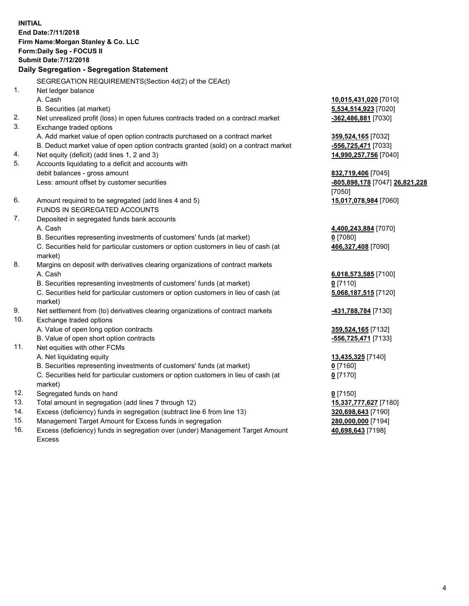**INITIAL End Date:7/11/2018 Firm Name:Morgan Stanley & Co. LLC Form:Daily Seg - FOCUS II Submit Date:7/12/2018 Daily Segregation - Segregation Statement** SEGREGATION REQUIREMENTS(Section 4d(2) of the CEAct) 1. Net ledger balance A. Cash **10,015,431,020** [7010] B. Securities (at market) **5,534,514,923** [7020] 2. Net unrealized profit (loss) in open futures contracts traded on a contract market **-362,486,881** [7030] 3. Exchange traded options A. Add market value of open option contracts purchased on a contract market **359,524,165** [7032] B. Deduct market value of open option contracts granted (sold) on a contract market **-556,725,471** [7033] 4. Net equity (deficit) (add lines 1, 2 and 3) **14,990,257,756** [7040] 5. Accounts liquidating to a deficit and accounts with debit balances - gross amount **832,719,406** [7045] Less: amount offset by customer securities **-805,898,178** [7047] **26,821,228** [7050] 6. Amount required to be segregated (add lines 4 and 5) **15,017,078,984** [7060] FUNDS IN SEGREGATED ACCOUNTS 7. Deposited in segregated funds bank accounts A. Cash **4,400,243,884** [7070] B. Securities representing investments of customers' funds (at market) **0** [7080] C. Securities held for particular customers or option customers in lieu of cash (at market) **466,327,408** [7090] 8. Margins on deposit with derivatives clearing organizations of contract markets A. Cash **6,018,573,585** [7100] B. Securities representing investments of customers' funds (at market) **0** [7110] C. Securities held for particular customers or option customers in lieu of cash (at market) **5,068,187,515** [7120] 9. Net settlement from (to) derivatives clearing organizations of contract markets **-431,788,784** [7130] 10. Exchange traded options A. Value of open long option contracts **359,524,165** [7132] B. Value of open short option contracts **and the set of our of the set of our of the set of the set of the set of the set of the set of the set of the set of the set of the set of the set of the set of the set of the set o** 11. Net equities with other FCMs A. Net liquidating equity **13,435,325** [7140] B. Securities representing investments of customers' funds (at market) **0** [7160] C. Securities held for particular customers or option customers in lieu of cash (at market) **0** [7170] 12. Segregated funds on hand **0** [7150] 13. Total amount in segregation (add lines 7 through 12) **15,337,777,627** [7180] 14. Excess (deficiency) funds in segregation (subtract line 6 from line 13) **320,698,643** [7190] 15. Management Target Amount for Excess funds in segregation **280,000,000** [7194]

16. Excess (deficiency) funds in segregation over (under) Management Target Amount Excess

**40,698,643** [7198]